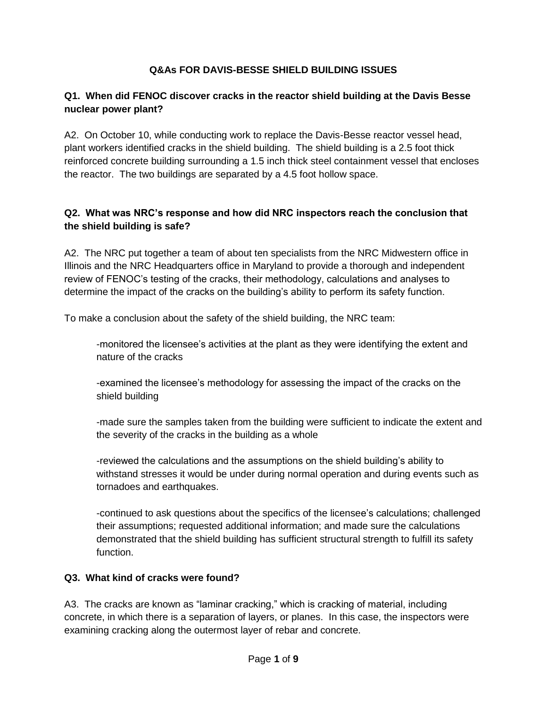### **Q&As FOR DAVIS-BESSE SHIELD BUILDING ISSUES**

### **Q1. When did FENOC discover cracks in the reactor shield building at the Davis Besse nuclear power plant?**

A2. On October 10, while conducting work to replace the Davis-Besse reactor vessel head, plant workers identified cracks in the shield building. The shield building is a 2.5 foot thick reinforced concrete building surrounding a 1.5 inch thick steel containment vessel that encloses the reactor. The two buildings are separated by a 4.5 foot hollow space.

### **Q2. What was NRC's response and how did NRC inspectors reach the conclusion that the shield building is safe?**

A2. The NRC put together a team of about ten specialists from the NRC Midwestern office in Illinois and the NRC Headquarters office in Maryland to provide a thorough and independent review of FENOC's testing of the cracks, their methodology, calculations and analyses to determine the impact of the cracks on the building's ability to perform its safety function.

To make a conclusion about the safety of the shield building, the NRC team:

-monitored the licensee's activities at the plant as they were identifying the extent and nature of the cracks

-examined the licensee's methodology for assessing the impact of the cracks on the shield building

-made sure the samples taken from the building were sufficient to indicate the extent and the severity of the cracks in the building as a whole

-reviewed the calculations and the assumptions on the shield building's ability to withstand stresses it would be under during normal operation and during events such as tornadoes and earthquakes.

-continued to ask questions about the specifics of the licensee's calculations; challenged their assumptions; requested additional information; and made sure the calculations demonstrated that the shield building has sufficient structural strength to fulfill its safety function.

#### **Q3. What kind of cracks were found?**

A3. The cracks are known as "laminar cracking," which is cracking of material, including concrete, in which there is a separation of layers, or planes. In this case, the inspectors were examining cracking along the outermost layer of rebar and concrete.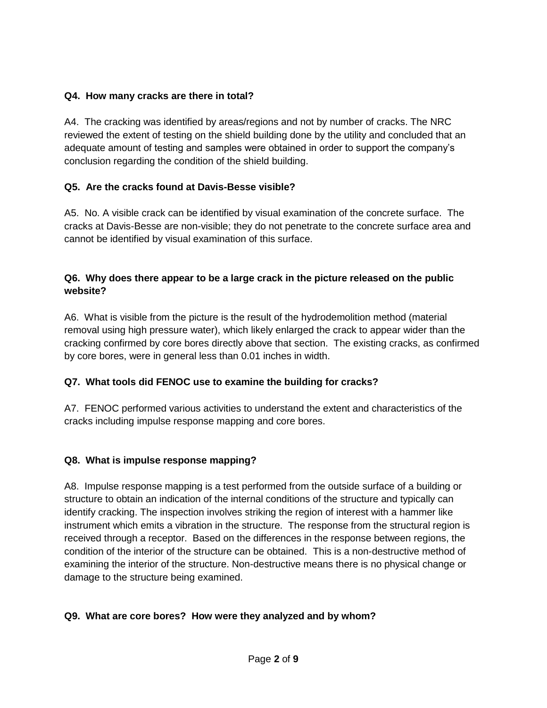#### **Q4. How many cracks are there in total?**

A4. The cracking was identified by areas/regions and not by number of cracks. The NRC reviewed the extent of testing on the shield building done by the utility and concluded that an adequate amount of testing and samples were obtained in order to support the company's conclusion regarding the condition of the shield building.

### **Q5. Are the cracks found at Davis-Besse visible?**

A5. No. A visible crack can be identified by visual examination of the concrete surface. The cracks at Davis-Besse are non-visible; they do not penetrate to the concrete surface area and cannot be identified by visual examination of this surface.

### **Q6. Why does there appear to be a large crack in the picture released on the public website?**

A6. What is visible from the picture is the result of the hydrodemolition method (material removal using high pressure water), which likely enlarged the crack to appear wider than the cracking confirmed by core bores directly above that section. The existing cracks, as confirmed by core bores, were in general less than 0.01 inches in width.

# **Q7. What tools did FENOC use to examine the building for cracks?**

A7. FENOC performed various activities to understand the extent and characteristics of the cracks including impulse response mapping and core bores.

# **Q8. What is impulse response mapping?**

A8. Impulse response mapping is a test performed from the outside surface of a building or structure to obtain an indication of the internal conditions of the structure and typically can identify cracking. The inspection involves striking the region of interest with a hammer like instrument which emits a vibration in the structure. The response from the structural region is received through a receptor. Based on the differences in the response between regions, the condition of the interior of the structure can be obtained. This is a non-destructive method of examining the interior of the structure. Non-destructive means there is no physical change or damage to the structure being examined.

# **Q9. What are core bores? How were they analyzed and by whom?**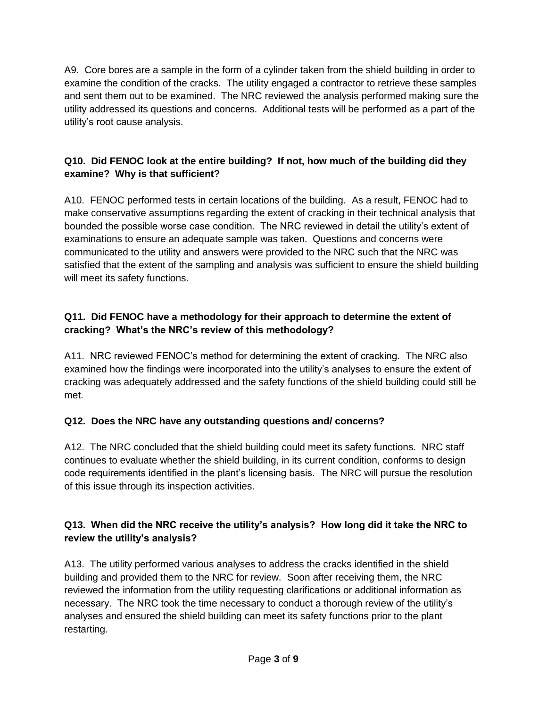A9. Core bores are a sample in the form of a cylinder taken from the shield building in order to examine the condition of the cracks. The utility engaged a contractor to retrieve these samples and sent them out to be examined. The NRC reviewed the analysis performed making sure the utility addressed its questions and concerns. Additional tests will be performed as a part of the utility's root cause analysis.

# **Q10. Did FENOC look at the entire building? If not, how much of the building did they examine? Why is that sufficient?**

A10. FENOC performed tests in certain locations of the building. As a result, FENOC had to make conservative assumptions regarding the extent of cracking in their technical analysis that bounded the possible worse case condition. The NRC reviewed in detail the utility's extent of examinations to ensure an adequate sample was taken. Questions and concerns were communicated to the utility and answers were provided to the NRC such that the NRC was satisfied that the extent of the sampling and analysis was sufficient to ensure the shield building will meet its safety functions.

### **Q11. Did FENOC have a methodology for their approach to determine the extent of cracking? What's the NRC's review of this methodology?**

A11. NRC reviewed FENOC's method for determining the extent of cracking. The NRC also examined how the findings were incorporated into the utility's analyses to ensure the extent of cracking was adequately addressed and the safety functions of the shield building could still be met.

# **Q12. Does the NRC have any outstanding questions and/ concerns?**

A12. The NRC concluded that the shield building could meet its safety functions. NRC staff continues to evaluate whether the shield building, in its current condition, conforms to design code requirements identified in the plant's licensing basis. The NRC will pursue the resolution of this issue through its inspection activities.

# **Q13. When did the NRC receive the utility's analysis? How long did it take the NRC to review the utility's analysis?**

A13. The utility performed various analyses to address the cracks identified in the shield building and provided them to the NRC for review. Soon after receiving them, the NRC reviewed the information from the utility requesting clarifications or additional information as necessary. The NRC took the time necessary to conduct a thorough review of the utility's analyses and ensured the shield building can meet its safety functions prior to the plant restarting.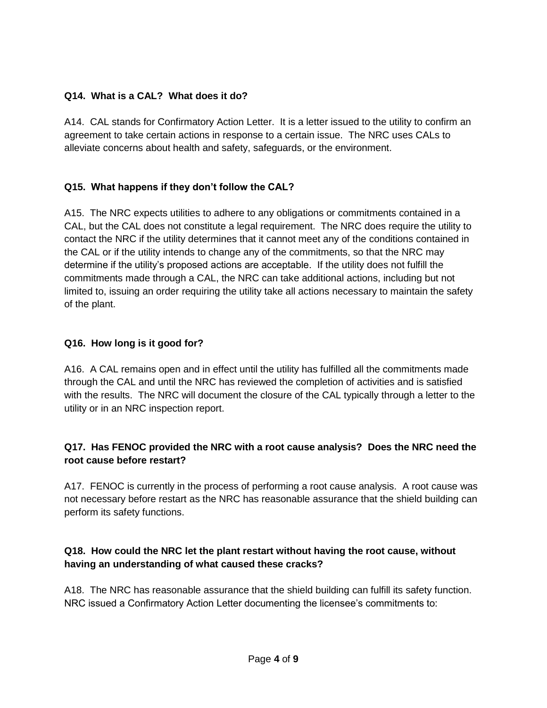### **Q14. What is a CAL? What does it do?**

A14. CAL stands for Confirmatory Action Letter. It is a letter issued to the utility to confirm an agreement to take certain actions in response to a certain issue. The NRC uses CALs to alleviate concerns about health and safety, safeguards, or the environment.

### **Q15. What happens if they don't follow the CAL?**

A15. The NRC expects utilities to adhere to any obligations or commitments contained in a CAL, but the CAL does not constitute a legal requirement. The NRC does require the utility to contact the NRC if the utility determines that it cannot meet any of the conditions contained in the CAL or if the utility intends to change any of the commitments, so that the NRC may determine if the utility's proposed actions are acceptable. If the utility does not fulfill the commitments made through a CAL, the NRC can take additional actions, including but not limited to, issuing an order requiring the utility take all actions necessary to maintain the safety of the plant.

#### **Q16. How long is it good for?**

A16. A CAL remains open and in effect until the utility has fulfilled all the commitments made through the CAL and until the NRC has reviewed the completion of activities and is satisfied with the results. The NRC will document the closure of the CAL typically through a letter to the utility or in an NRC inspection report.

### **Q17. Has FENOC provided the NRC with a root cause analysis? Does the NRC need the root cause before restart?**

A17. FENOC is currently in the process of performing a root cause analysis. A root cause was not necessary before restart as the NRC has reasonable assurance that the shield building can perform its safety functions.

### **Q18. How could the NRC let the plant restart without having the root cause, without having an understanding of what caused these cracks?**

A18. The NRC has reasonable assurance that the shield building can fulfill its safety function. NRC issued a Confirmatory Action Letter documenting the licensee's commitments to: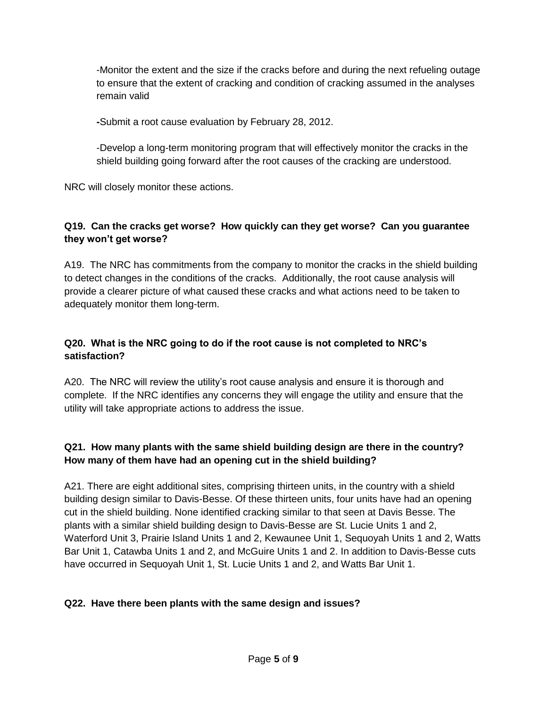-Monitor the extent and the size if the cracks before and during the next refueling outage to ensure that the extent of cracking and condition of cracking assumed in the analyses remain valid

**-**Submit a root cause evaluation by February 28, 2012.

-Develop a long-term monitoring program that will effectively monitor the cracks in the shield building going forward after the root causes of the cracking are understood.

NRC will closely monitor these actions.

# **Q19. Can the cracks get worse? How quickly can they get worse? Can you guarantee they won't get worse?**

A19. The NRC has commitments from the company to monitor the cracks in the shield building to detect changes in the conditions of the cracks. Additionally, the root cause analysis will provide a clearer picture of what caused these cracks and what actions need to be taken to adequately monitor them long-term.

# **Q20. What is the NRC going to do if the root cause is not completed to NRC's satisfaction?**

A20. The NRC will review the utility's root cause analysis and ensure it is thorough and complete. If the NRC identifies any concerns they will engage the utility and ensure that the utility will take appropriate actions to address the issue.

# **Q21. How many plants with the same shield building design are there in the country? How many of them have had an opening cut in the shield building?**

A21. There are eight additional sites, comprising thirteen units, in the country with a shield building design similar to Davis-Besse. Of these thirteen units, four units have had an opening cut in the shield building. None identified cracking similar to that seen at Davis Besse. The plants with a similar shield building design to Davis-Besse are St. Lucie Units 1 and 2, Waterford Unit 3, Prairie Island Units 1 and 2, Kewaunee Unit 1, Sequoyah Units 1 and 2, Watts Bar Unit 1, Catawba Units 1 and 2, and McGuire Units 1 and 2. In addition to Davis-Besse cuts have occurred in Sequoyah Unit 1, St. Lucie Units 1 and 2, and Watts Bar Unit 1.

# **Q22. Have there been plants with the same design and issues?**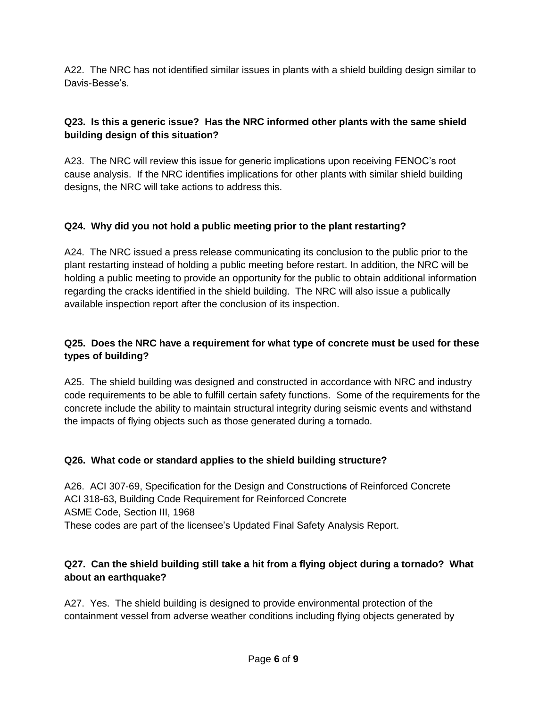A22. The NRC has not identified similar issues in plants with a shield building design similar to Davis-Besse's.

# **Q23. Is this a generic issue? Has the NRC informed other plants with the same shield building design of this situation?**

A23. The NRC will review this issue for generic implications upon receiving FENOC's root cause analysis. If the NRC identifies implications for other plants with similar shield building designs, the NRC will take actions to address this.

# **Q24. Why did you not hold a public meeting prior to the plant restarting?**

A24. The NRC issued a press release communicating its conclusion to the public prior to the plant restarting instead of holding a public meeting before restart. In addition, the NRC will be holding a public meeting to provide an opportunity for the public to obtain additional information regarding the cracks identified in the shield building. The NRC will also issue a publically available inspection report after the conclusion of its inspection.

# **Q25. Does the NRC have a requirement for what type of concrete must be used for these types of building?**

A25. The shield building was designed and constructed in accordance with NRC and industry code requirements to be able to fulfill certain safety functions. Some of the requirements for the concrete include the ability to maintain structural integrity during seismic events and withstand the impacts of flying objects such as those generated during a tornado.

# **Q26. What code or standard applies to the shield building structure?**

A26. ACI 307-69, Specification for the Design and Constructions of Reinforced Concrete ACI 318-63, Building Code Requirement for Reinforced Concrete ASME Code, Section III, 1968 These codes are part of the licensee's Updated Final Safety Analysis Report.

# **Q27. Can the shield building still take a hit from a flying object during a tornado? What about an earthquake?**

A27. Yes. The shield building is designed to provide environmental protection of the containment vessel from adverse weather conditions including flying objects generated by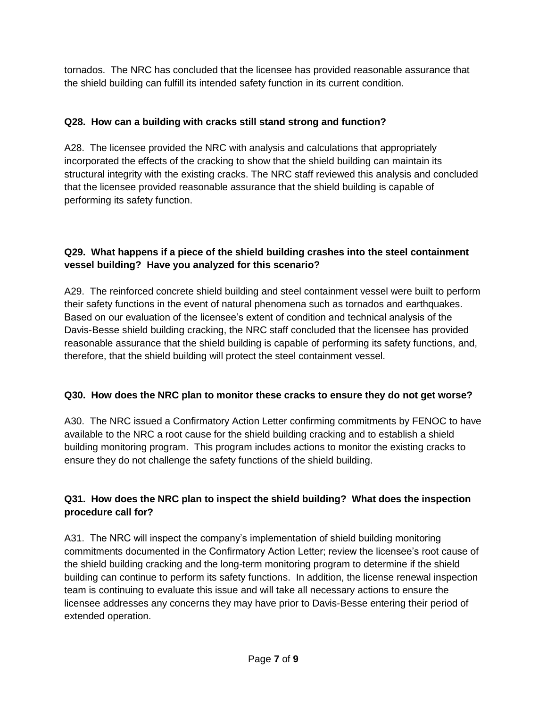tornados. The NRC has concluded that the licensee has provided reasonable assurance that the shield building can fulfill its intended safety function in its current condition.

# **Q28. How can a building with cracks still stand strong and function?**

A28. The licensee provided the NRC with analysis and calculations that appropriately incorporated the effects of the cracking to show that the shield building can maintain its structural integrity with the existing cracks. The NRC staff reviewed this analysis and concluded that the licensee provided reasonable assurance that the shield building is capable of performing its safety function.

# **Q29. What happens if a piece of the shield building crashes into the steel containment vessel building? Have you analyzed for this scenario?**

A29. The reinforced concrete shield building and steel containment vessel were built to perform their safety functions in the event of natural phenomena such as tornados and earthquakes. Based on our evaluation of the licensee's extent of condition and technical analysis of the Davis-Besse shield building cracking, the NRC staff concluded that the licensee has provided reasonable assurance that the shield building is capable of performing its safety functions, and, therefore, that the shield building will protect the steel containment vessel.

# **Q30. How does the NRC plan to monitor these cracks to ensure they do not get worse?**

A30. The NRC issued a Confirmatory Action Letter confirming commitments by FENOC to have available to the NRC a root cause for the shield building cracking and to establish a shield building monitoring program. This program includes actions to monitor the existing cracks to ensure they do not challenge the safety functions of the shield building.

# **Q31. How does the NRC plan to inspect the shield building? What does the inspection procedure call for?**

A31. The NRC will inspect the company's implementation of shield building monitoring commitments documented in the Confirmatory Action Letter; review the licensee's root cause of the shield building cracking and the long-term monitoring program to determine if the shield building can continue to perform its safety functions. In addition, the license renewal inspection team is continuing to evaluate this issue and will take all necessary actions to ensure the licensee addresses any concerns they may have prior to Davis-Besse entering their period of extended operation.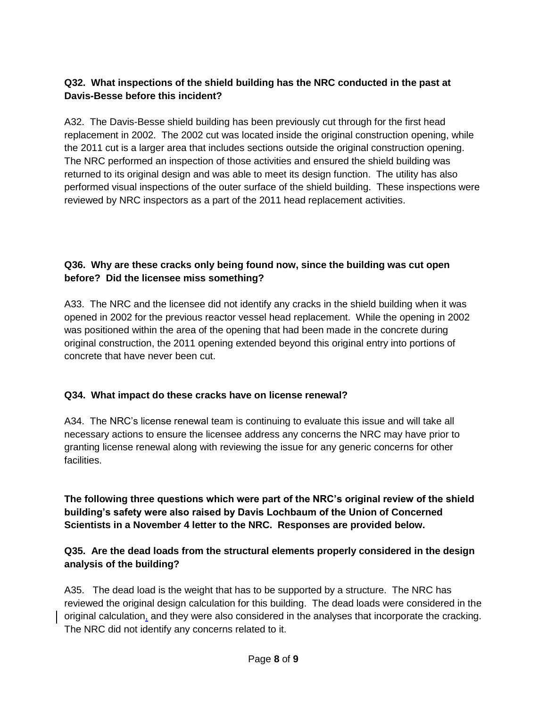### **Q32. What inspections of the shield building has the NRC conducted in the past at Davis-Besse before this incident?**

A32. The Davis-Besse shield building has been previously cut through for the first head replacement in 2002. The 2002 cut was located inside the original construction opening, while the 2011 cut is a larger area that includes sections outside the original construction opening. The NRC performed an inspection of those activities and ensured the shield building was returned to its original design and was able to meet its design function. The utility has also performed visual inspections of the outer surface of the shield building. These inspections were reviewed by NRC inspectors as a part of the 2011 head replacement activities.

# **Q36. Why are these cracks only being found now, since the building was cut open before? Did the licensee miss something?**

A33. The NRC and the licensee did not identify any cracks in the shield building when it was opened in 2002 for the previous reactor vessel head replacement. While the opening in 2002 was positioned within the area of the opening that had been made in the concrete during original construction, the 2011 opening extended beyond this original entry into portions of concrete that have never been cut.

# **Q34. What impact do these cracks have on license renewal?**

A34. The NRC's license renewal team is continuing to evaluate this issue and will take all necessary actions to ensure the licensee address any concerns the NRC may have prior to granting license renewal along with reviewing the issue for any generic concerns for other facilities.

**The following three questions which were part of the NRC's original review of the shield building's safety were also raised by Davis Lochbaum of the Union of Concerned Scientists in a November 4 letter to the NRC. Responses are provided below.**

# **Q35. Are the dead loads from the structural elements properly considered in the design analysis of the building?**

A35. The dead load is the weight that has to be supported by a structure. The NRC has reviewed the original design calculation for this building. The dead loads were considered in the original calculation, and they were also considered in the analyses that incorporate the cracking. The NRC did not identify any concerns related to it.